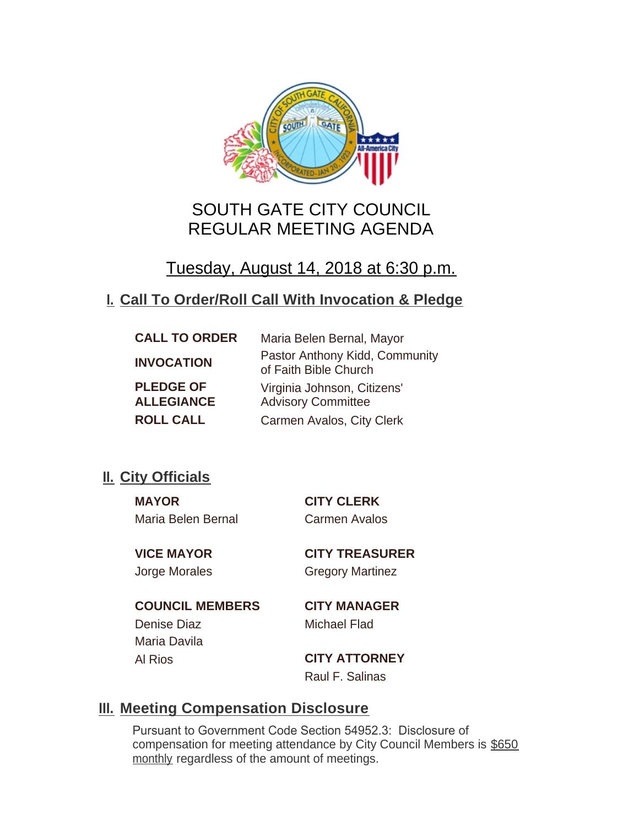

# SOUTH GATE CITY COUNCIL REGULAR MEETING AGENDA

# Tuesday, August 14, 2018 at 6:30 p.m.

## **Call To Order/Roll Call With Invocation & Pledge I.**

| <b>CALL TO ORDER</b>                  | Maria Belen Bernal, Mayor                                |
|---------------------------------------|----------------------------------------------------------|
| <b>INVOCATION</b>                     | Pastor Anthony Kidd, Community<br>of Faith Bible Church  |
| <b>PLEDGE OF</b><br><b>ALLEGIANCE</b> | Virginia Johnson, Citizens'<br><b>Advisory Committee</b> |
| <b>ROLL CALL</b>                      | Carmen Avalos, City Clerk                                |

## **II.** City Officials

**MAYOR CITY CLERK** Maria Belen Bernal Carmen Avalos

**VICE MAYOR CITY TREASURER** Jorge Morales Gregory Martinez

**COUNCIL MEMBERS CITY MANAGER** Denise Diaz Michael Flad Maria Davila

Al Rios **CITY ATTORNEY** Raul F. Salinas

### **Meeting Compensation Disclosure III.**

Pursuant to Government Code Section 54952.3: Disclosure of compensation for meeting attendance by City Council Members is \$650 monthly regardless of the amount of meetings.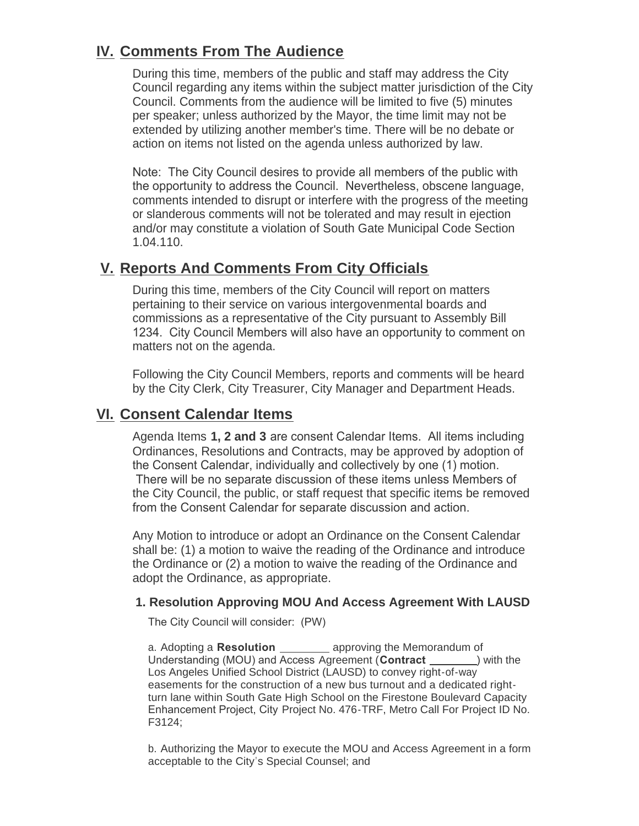## **IV. Comments From The Audience**

During this time, members of the public and staff may address the City Council regarding any items within the subject matter jurisdiction of the City Council. Comments from the audience will be limited to five (5) minutes per speaker; unless authorized by the Mayor, the time limit may not be extended by utilizing another member's time. There will be no debate or action on items not listed on the agenda unless authorized by law.

Note: The City Council desires to provide all members of the public with the opportunity to address the Council. Nevertheless, obscene language, comments intended to disrupt or interfere with the progress of the meeting or slanderous comments will not be tolerated and may result in ejection and/or may constitute a violation of South Gate Municipal Code Section 1.04.110.

### **Reports And Comments From City Officials V.**

During this time, members of the City Council will report on matters pertaining to their service on various intergovenmental boards and commissions as a representative of the City pursuant to Assembly Bill 1234. City Council Members will also have an opportunity to comment on matters not on the agenda.

Following the City Council Members, reports and comments will be heard by the City Clerk, City Treasurer, City Manager and Department Heads.

### **Consent Calendar Items VI.**

Agenda Items **1, 2 and 3** are consent Calendar Items. All items including Ordinances, Resolutions and Contracts, may be approved by adoption of the Consent Calendar, individually and collectively by one (1) motion. There will be no separate discussion of these items unless Members of the City Council, the public, or staff request that specific items be removed from the Consent Calendar for separate discussion and action.

Any Motion to introduce or adopt an Ordinance on the Consent Calendar shall be: (1) a motion to waive the reading of the Ordinance and introduce the Ordinance or (2) a motion to waive the reading of the Ordinance and adopt the Ordinance, as appropriate.

#### **1. Resolution Approving MOU And Access Agreement With LAUSD**

The City Council will consider: (PW)

a. Adopting a **Resolution** *CONDER 20 approving the Memorandum of* Understanding (MOU) and Access Agreement (**Contract** \_\_\_\_\_\_\_\_) with the Los Angeles Unified School District (LAUSD) to convey right-of-way easements for the construction of a new bus turnout and a dedicated rightturn lane within South Gate High School on the Firestone Boulevard Capacity Enhancement Project, City Project No. 476-TRF, Metro Call For Project ID No. F3124;

b. Authorizing the Mayor to execute the MOU and Access Agreement in a form acceptable to the City's Special Counsel; and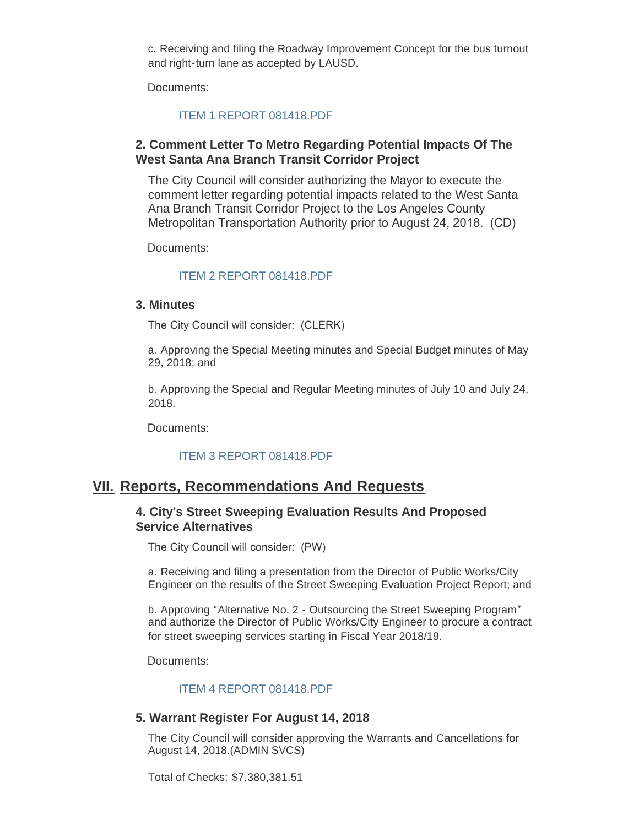c. Receiving and filing the Roadway Improvement Concept for the bus turnout and right-turn lane as accepted by LAUSD.

Documents:

#### [ITEM 1 REPORT 081418.PDF](http://ca-southgate.civicplus.com/AgendaCenter/ViewFile/Item/6334?fileID=12720)

#### **2. Comment Letter To Metro Regarding Potential Impacts Of The West Santa Ana Branch Transit Corridor Project**

The City Council will consider authorizing the Mayor to execute the comment letter regarding potential impacts related to the West Santa Ana Branch Transit Corridor Project to the Los Angeles County Metropolitan Transportation Authority prior to August 24, 2018. (CD)

Documents:

#### [ITEM 2 REPORT 081418.PDF](http://ca-southgate.civicplus.com/AgendaCenter/ViewFile/Item/6335?fileID=12717)

#### **3. Minutes**

The City Council will consider: (CLERK)

a. Approving the Special Meeting minutes and Special Budget minutes of May 29, 2018; and

b. Approving the Special and Regular Meeting minutes of July 10 and July 24, 2018.

Documents:

#### [ITEM 3 REPORT 081418.PDF](http://ca-southgate.civicplus.com/AgendaCenter/ViewFile/Item/6336?fileID=12722)

### **Reports, Recommendations And Requests VII.**

#### **4. City's Street Sweeping Evaluation Results And Proposed Service Alternatives**

The City Council will consider: (PW)

a. Receiving and filing a presentation from the Director of Public Works/City Engineer on the results of the Street Sweeping Evaluation Project Report; and

b. Approving "Alternative No. 2 - Outsourcing the Street Sweeping Program" and authorize the Director of Public Works/City Engineer to procure a contract for street sweeping services starting in Fiscal Year 2018/19.

Documents:

#### [ITEM 4 REPORT 081418.PDF](http://ca-southgate.civicplus.com/AgendaCenter/ViewFile/Item/6337?fileID=12718)

#### **5. Warrant Register For August 14, 2018**

The City Council will consider approving the Warrants and Cancellations for August 14, 2018.(ADMIN SVCS)

Total of Checks: \$7,380,381.51